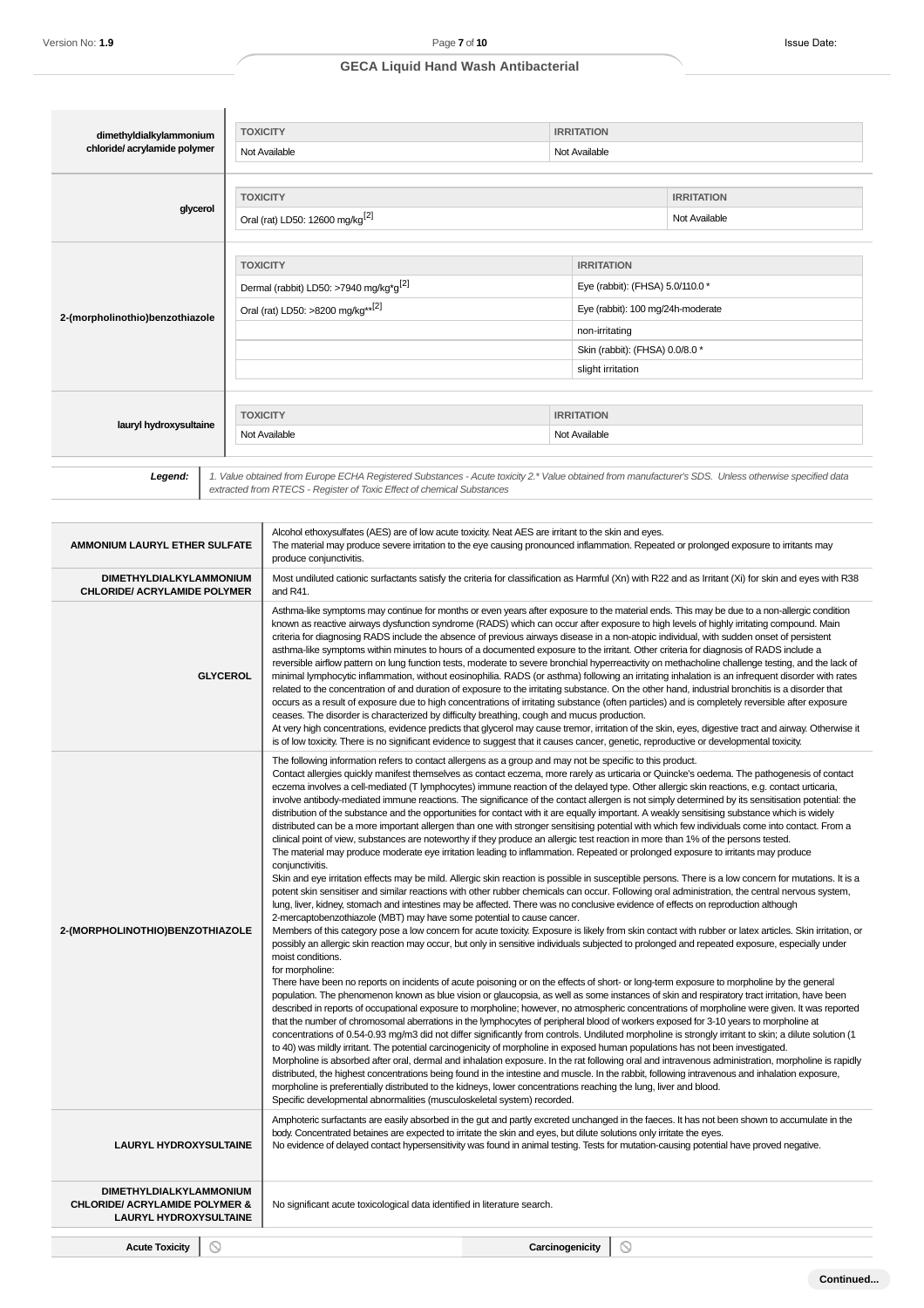ń

# **GECA Liquid Hand Wash Antibacterial**

| dimethyldialkylammonium         |  | <b>TOXICITY</b>                                                                                                                                       | <b>IRRITATION</b> |                                 |  |
|---------------------------------|--|-------------------------------------------------------------------------------------------------------------------------------------------------------|-------------------|---------------------------------|--|
| chloride/acrylamide polymer     |  | Not Available                                                                                                                                         | Not Available     |                                 |  |
|                                 |  |                                                                                                                                                       |                   |                                 |  |
|                                 |  | <b>TOXICITY</b>                                                                                                                                       |                   | <b>IRRITATION</b>               |  |
| glycerol                        |  | Oral (rat) LD50: 12600 mg/kg <sup>[2]</sup>                                                                                                           |                   | Not Available                   |  |
|                                 |  |                                                                                                                                                       |                   |                                 |  |
|                                 |  | <b>TOXICITY</b><br><b>IRRITATION</b>                                                                                                                  |                   |                                 |  |
|                                 |  | Dermal (rabbit) LD50: >7940 mg/kg*g <sup>[2]</sup><br>Eye (rabbit): (FHSA) 5.0/110.0 *                                                                |                   |                                 |  |
| 2-(morpholinothio)benzothiazole |  | Oral (rat) LD50: >8200 mg/kg** <sup>[2]</sup><br>Eye (rabbit): 100 mg/24h-moderate                                                                    |                   |                                 |  |
|                                 |  |                                                                                                                                                       |                   | non-irritating                  |  |
|                                 |  |                                                                                                                                                       |                   | Skin (rabbit): (FHSA) 0.0/8.0 * |  |
|                                 |  |                                                                                                                                                       |                   | slight irritation               |  |
|                                 |  |                                                                                                                                                       |                   |                                 |  |
| lauryl hydroxysultaine          |  | <b>TOXICITY</b>                                                                                                                                       | <b>IRRITATION</b> |                                 |  |
|                                 |  | Not Available                                                                                                                                         | Not Available     |                                 |  |
|                                 |  |                                                                                                                                                       |                   |                                 |  |
| Legend:                         |  | 1. Value obtained from Europe ECHA Registered Substances - Acute toxicity 2.* Value obtained from manufacturer's SDS. Unless otherwise specified data |                   |                                 |  |
|                                 |  | extracted from RTECS - Register of Toxic Effect of chemical Substances                                                                                |                   |                                 |  |

| AMMONIUM LAURYL ETHER SULFATE                                                                         | Alcohol ethoxysulfates (AES) are of low acute toxicity. Neat AES are irritant to the skin and eyes.<br>The material may produce severe irritation to the eye causing pronounced inflammation. Repeated or prolonged exposure to irritants may<br>produce conjunctivitis.                                                                                                                                                                                                                                                                                                                                                                                                                                                                                                                                                                                                                                                                                                                                                                                                                                                                                                                                                                                                                                                                                                                                                                                                                                                                                                                                                                                                                                                                                                                                                                                                                                                                                                                                                                                                                                                                                                                                                                                                                                                                                                                                                                                                                                                                                                                                                                                                                                                                                                                                                                                                                                                                                                                                                                                                                                                                                                                                                                                                                                                                                                                                                              |
|-------------------------------------------------------------------------------------------------------|---------------------------------------------------------------------------------------------------------------------------------------------------------------------------------------------------------------------------------------------------------------------------------------------------------------------------------------------------------------------------------------------------------------------------------------------------------------------------------------------------------------------------------------------------------------------------------------------------------------------------------------------------------------------------------------------------------------------------------------------------------------------------------------------------------------------------------------------------------------------------------------------------------------------------------------------------------------------------------------------------------------------------------------------------------------------------------------------------------------------------------------------------------------------------------------------------------------------------------------------------------------------------------------------------------------------------------------------------------------------------------------------------------------------------------------------------------------------------------------------------------------------------------------------------------------------------------------------------------------------------------------------------------------------------------------------------------------------------------------------------------------------------------------------------------------------------------------------------------------------------------------------------------------------------------------------------------------------------------------------------------------------------------------------------------------------------------------------------------------------------------------------------------------------------------------------------------------------------------------------------------------------------------------------------------------------------------------------------------------------------------------------------------------------------------------------------------------------------------------------------------------------------------------------------------------------------------------------------------------------------------------------------------------------------------------------------------------------------------------------------------------------------------------------------------------------------------------------------------------------------------------------------------------------------------------------------------------------------------------------------------------------------------------------------------------------------------------------------------------------------------------------------------------------------------------------------------------------------------------------------------------------------------------------------------------------------------------------------------------------------------------------------------------------------------------|
| DIMETHYLDIALKYLAMMONIUM<br><b>CHLORIDE/ ACRYLAMIDE POLYMER</b>                                        | Most undiluted cationic surfactants satisfy the criteria for classification as Harmful (Xn) with R22 and as Irritant (Xi) for skin and eyes with R38<br>and R41.                                                                                                                                                                                                                                                                                                                                                                                                                                                                                                                                                                                                                                                                                                                                                                                                                                                                                                                                                                                                                                                                                                                                                                                                                                                                                                                                                                                                                                                                                                                                                                                                                                                                                                                                                                                                                                                                                                                                                                                                                                                                                                                                                                                                                                                                                                                                                                                                                                                                                                                                                                                                                                                                                                                                                                                                                                                                                                                                                                                                                                                                                                                                                                                                                                                                      |
| <b>GLYCEROL</b>                                                                                       | Asthma-like symptoms may continue for months or even years after exposure to the material ends. This may be due to a non-allergic condition<br>known as reactive airways dysfunction syndrome (RADS) which can occur after exposure to high levels of highly irritating compound. Main<br>criteria for diagnosing RADS include the absence of previous airways disease in a non-atopic individual, with sudden onset of persistent<br>asthma-like symptoms within minutes to hours of a documented exposure to the irritant. Other criteria for diagnosis of RADS include a<br>reversible airflow pattern on lung function tests, moderate to severe bronchial hyperreactivity on methacholine challenge testing, and the lack of<br>minimal lymphocytic inflammation, without eosinophilia. RADS (or asthma) following an irritating inhalation is an infrequent disorder with rates<br>related to the concentration of and duration of exposure to the irritating substance. On the other hand, industrial bronchitis is a disorder that<br>occurs as a result of exposure due to high concentrations of irritating substance (often particles) and is completely reversible after exposure<br>ceases. The disorder is characterized by difficulty breathing, cough and mucus production.<br>At very high concentrations, evidence predicts that glycerol may cause tremor, irritation of the skin, eyes, digestive tract and airway. Otherwise it<br>is of low toxicity. There is no significant evidence to suggest that it causes cancer, genetic, reproductive or developmental toxicity.                                                                                                                                                                                                                                                                                                                                                                                                                                                                                                                                                                                                                                                                                                                                                                                                                                                                                                                                                                                                                                                                                                                                                                                                                                                                                                                                                                                                                                                                                                                                                                                                                                                                                                                                                                                                                                       |
| 2-(MORPHOLINOTHIO)BENZOTHIAZOLE                                                                       | The following information refers to contact allergens as a group and may not be specific to this product.<br>Contact allergies quickly manifest themselves as contact eczema, more rarely as urticaria or Quincke's oedema. The pathogenesis of contact<br>eczema involves a cell-mediated (T lymphocytes) immune reaction of the delayed type. Other allergic skin reactions, e.g. contact urticaria,<br>involve antibody-mediated immune reactions. The significance of the contact allergen is not simply determined by its sensitisation potential: the<br>distribution of the substance and the opportunities for contact with it are equally important. A weakly sensitising substance which is widely<br>distributed can be a more important allergen than one with stronger sensitising potential with which few individuals come into contact. From a<br>clinical point of view, substances are noteworthy if they produce an allergic test reaction in more than 1% of the persons tested.<br>The material may produce moderate eye irritation leading to inflammation. Repeated or prolonged exposure to irritants may produce<br>conjunctivitis.<br>Skin and eye irritation effects may be mild. Allergic skin reaction is possible in susceptible persons. There is a low concern for mutations. It is a<br>potent skin sensitiser and similar reactions with other rubber chemicals can occur. Following oral administration, the central nervous system,<br>lung, liver, kidney, stomach and intestines may be affected. There was no conclusive evidence of effects on reproduction although<br>2-mercaptobenzothiazole (MBT) may have some potential to cause cancer.<br>Members of this category pose a low concern for acute toxicity. Exposure is likely from skin contact with rubber or latex articles. Skin irritation, or<br>possibly an allergic skin reaction may occur, but only in sensitive individuals subjected to prolonged and repeated exposure, especially under<br>moist conditions.<br>for morpholine:<br>There have been no reports on incidents of acute poisoning or on the effects of short- or long-term exposure to morpholine by the general<br>population. The phenomenon known as blue vision or glaucopsia, as well as some instances of skin and respiratory tract irritation, have been<br>described in reports of occupational exposure to morpholine; however, no atmospheric concentrations of morpholine were given. It was reported<br>that the number of chromosomal aberrations in the lymphocytes of peripheral blood of workers exposed for 3-10 years to morpholine at<br>concentrations of 0.54-0.93 mg/m3 did not differ significantly from controls. Undiluted morpholine is strongly irritant to skin; a dilute solution (1<br>to 40) was mildly irritant. The potential carcinogenicity of morpholine in exposed human populations has not been investigated.<br>Morpholine is absorbed after oral, dermal and inhalation exposure. In the rat following oral and intravenous administration, morpholine is rapidly<br>distributed, the highest concentrations being found in the intestine and muscle. In the rabbit, following intravenous and inhalation exposure,<br>morpholine is preferentially distributed to the kidneys, lower concentrations reaching the lung, liver and blood.<br>Specific developmental abnormalities (musculoskeletal system) recorded. |
| <b>LAURYL HYDROXYSULTAINE</b>                                                                         | Amphoteric surfactants are easily absorbed in the gut and partly excreted unchanged in the faeces. It has not been shown to accumulate in the<br>body. Concentrated betaines are expected to irritate the skin and eyes, but dilute solutions only irritate the eyes.<br>No evidence of delayed contact hypersensitivity was found in animal testing. Tests for mutation-causing potential have proved negative.                                                                                                                                                                                                                                                                                                                                                                                                                                                                                                                                                                                                                                                                                                                                                                                                                                                                                                                                                                                                                                                                                                                                                                                                                                                                                                                                                                                                                                                                                                                                                                                                                                                                                                                                                                                                                                                                                                                                                                                                                                                                                                                                                                                                                                                                                                                                                                                                                                                                                                                                                                                                                                                                                                                                                                                                                                                                                                                                                                                                                      |
| DIMETHYLDIALKYLAMMONIUM<br><b>CHLORIDE/ ACRYLAMIDE POLYMER &amp;</b><br><b>LAURYL HYDROXYSULTAINE</b> | No significant acute toxicological data identified in literature search.                                                                                                                                                                                                                                                                                                                                                                                                                                                                                                                                                                                                                                                                                                                                                                                                                                                                                                                                                                                                                                                                                                                                                                                                                                                                                                                                                                                                                                                                                                                                                                                                                                                                                                                                                                                                                                                                                                                                                                                                                                                                                                                                                                                                                                                                                                                                                                                                                                                                                                                                                                                                                                                                                                                                                                                                                                                                                                                                                                                                                                                                                                                                                                                                                                                                                                                                                              |
| ல<br><b>Acute Toxicity</b>                                                                            | $\circ$<br>Carcinogenicity                                                                                                                                                                                                                                                                                                                                                                                                                                                                                                                                                                                                                                                                                                                                                                                                                                                                                                                                                                                                                                                                                                                                                                                                                                                                                                                                                                                                                                                                                                                                                                                                                                                                                                                                                                                                                                                                                                                                                                                                                                                                                                                                                                                                                                                                                                                                                                                                                                                                                                                                                                                                                                                                                                                                                                                                                                                                                                                                                                                                                                                                                                                                                                                                                                                                                                                                                                                                            |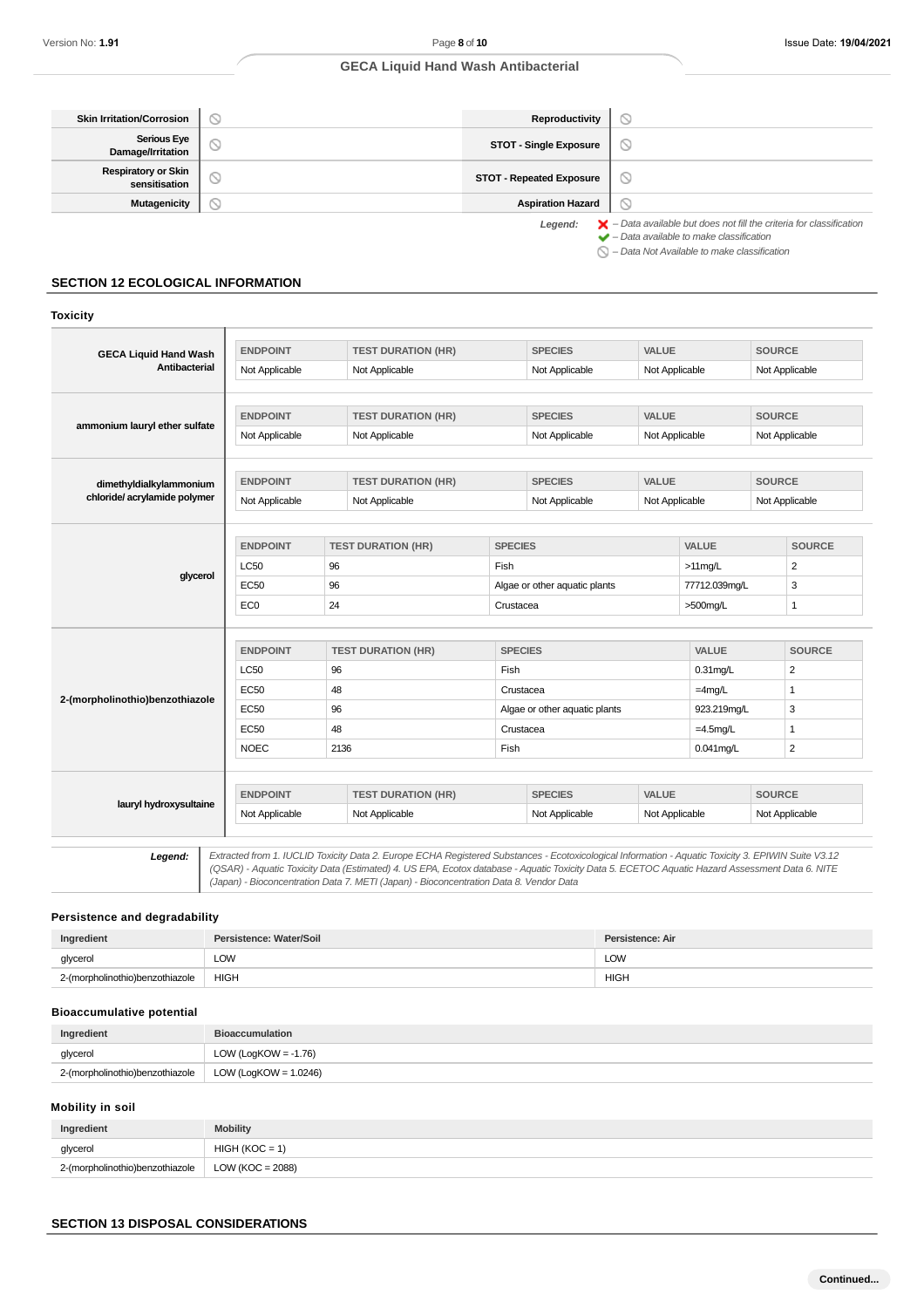**Toxicity**

# **GECA Liquid Hand Wash Antibacterial**

| <b>Skin Irritation/Corrosion</b>            |   | Reproductivity                  |                                                                                          |
|---------------------------------------------|---|---------------------------------|------------------------------------------------------------------------------------------|
| Serious Eye<br>Damage/Irritation            |   | <b>STOT - Single Exposure</b>   | ∾                                                                                        |
| <b>Respiratory or Skin</b><br>sensitisation | ∾ | <b>STOT - Repeated Exposure</b> | N                                                                                        |
| <b>Mutagenicity</b>                         |   | <b>Aspiration Hazard</b>        |                                                                                          |
|                                             |   | Legend:                         | $\blacktriangleright$ - Data available but does not fill the criteria for classification |

 – Data available to make classification  $\bigcirc$  – Data Not Available to make classification

# **SECTION 12 ECOLOGICAL INFORMATION**

# **GECA Liquid Hand Wash Antibacterial ENDPOINT TEST DURATION (HR) SPECIES VALUE SOURCE** Not Applicable Not Applicable Not Applicable Not Applicable Not Applicable Not Applicable Not Applicable **ammonium lauryl ether sulfate ENDPOINT TEST DURATION (HR) SPECIES VALUE SOURCE** Not Applicable Not Applicable Not Applicable Not Applicable Not Applicable Not Applicable **dimethyldialkylammonium chloride/ acrylamide polymer ENDPOINT TEST DURATION (HR) SPECIES VALUE SOURCE** Not Applicable Not Applicable Not Applicable Not Applicable Not Applicable Not Applicable Not Applicable **glycerol ENDPOINT TEST DURATION (HR) SPECIES VALUE SOURCE** LC50 96 Fish >11mg/L 2 EC50 96 Algae or other aquatic plants 77712.039mg/L 3 EC0 24 Crustacea >500mg/L 1 **2-(morpholinothio)benzothiazole ENDPOINT TEST DURATION (HR) SPECIES VALUE SOURCE** LC50 96 Fish 0.31mg/L 2 EC50 48 Crustacea =  $\vert$  -4mg/L 1 EC50 96 96 Algae or other aquatic plants 923.219mg/L 3  $EC50$  48 Crustacea  $=4.5$ mg/L 1  $NOEC$  2136 Fish 0.041mg/L 2 **lauryl hydroxysultaine ENDPOINT TEST DURATION (HR) SPECIES VALUE SOURCE** Not Applicable Not Applicable Not Applicable Not Applicable Not Applicable Not Applicable Legend: Extracted from 1. IUCLID Toxicity Data 2. Europe ECHA Registered Substances - Ecotoxicological Information - Aquatic Toxicity 3. EPIWIN Suite V3.12

(QSAR) - Aquatic Toxicity Data (Estimated) 4. US EPA, Ecotox database - Aquatic Toxicity Data 5. ECETOC Aquatic Hazard Assessment Data 6. NITE (Japan) - Bioconcentration Data 7. METI (Japan) - Bioconcentration Data 8. Vendor Data

#### **Persistence and degradability**

| Ingredient                      | Persistence: Water/Soil | Persistence: Air     |
|---------------------------------|-------------------------|----------------------|
| glycerol                        | <b>LOW</b>              | LOW<br>$\sim$ $\sim$ |
| 2-(morpholinothio)benzothiazole | <b>HIGH</b>             | <b>HIGH</b>          |

# **Bioaccumulative potential**

| Ingredient                      | <b>Bioaccumulation</b>   |
|---------------------------------|--------------------------|
| glycerol                        | LOW (LogKOW = -1.76)     |
| 2-(morpholinothio)benzothiazole | LOW (LogKOW = $1.0246$ ) |

### **Mobility in soil**

| Ingredient                      | <b>Mobility</b>  |
|---------------------------------|------------------|
| glycerol                        | $HIGH (KOC = 1)$ |
| 2-(morpholinothio)benzothiazole | LOW (KOC = 2088) |

## **SECTION 13 DISPOSAL CONSIDERATIONS**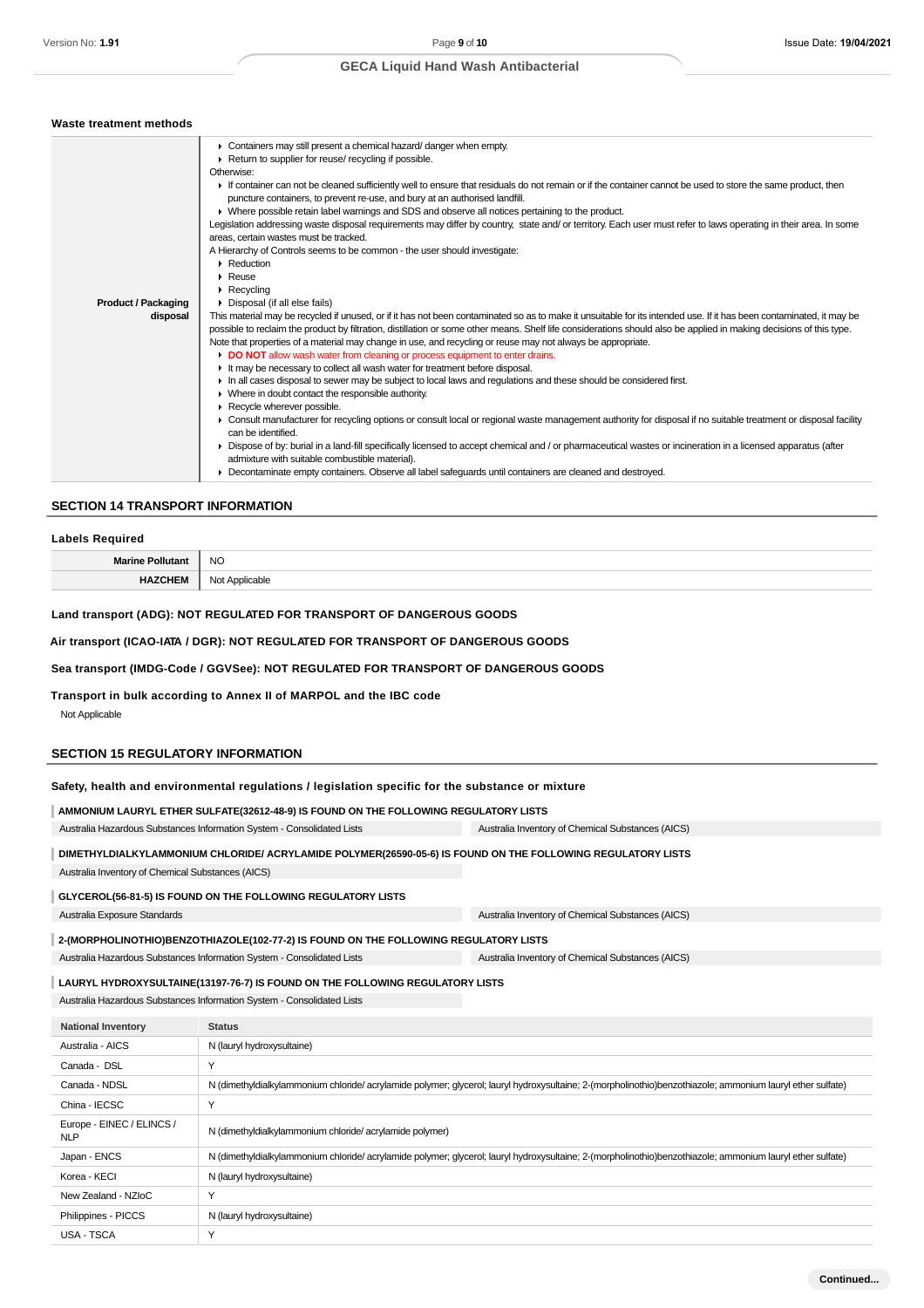# **GECA Liquid Hand Wash Antibacterial**

| Waste treatment methods    |                                                                                                                                                                      |
|----------------------------|----------------------------------------------------------------------------------------------------------------------------------------------------------------------|
|                            | • Containers may still present a chemical hazard/ danger when empty.                                                                                                 |
|                            | Return to supplier for reuse/ recycling if possible.                                                                                                                 |
|                            | Otherwise:                                                                                                                                                           |
|                            | If container can not be cleaned sufficiently well to ensure that residuals do not remain or if the container cannot be used to store the same product, then          |
|                            | puncture containers, to prevent re-use, and bury at an authorised landfill.                                                                                          |
|                            | • Where possible retain label warnings and SDS and observe all notices pertaining to the product.                                                                    |
|                            | Legislation addressing waste disposal requirements may differ by country, state and/ or territory. Each user must refer to laws operating in their area. In some     |
|                            | areas, certain wastes must be tracked.                                                                                                                               |
|                            | A Hierarchy of Controls seems to be common - the user should investigate:                                                                                            |
|                            | Reduction                                                                                                                                                            |
|                            | $\triangleright$ Reuse                                                                                                                                               |
|                            | $\triangleright$ Recycling                                                                                                                                           |
| <b>Product / Packaging</b> | • Disposal (if all else fails)                                                                                                                                       |
| disposal                   | This material may be recycled if unused, or if it has not been contaminated so as to make it unsuitable for its intended use. If it has been contaminated, it may be |
|                            | possible to reclaim the product by filtration, distillation or some other means. Shelf life considerations should also be applied in making decisions of this type.  |
|                            | Note that properties of a material may change in use, and recycling or reuse may not always be appropriate.                                                          |
|                            | • DO NOT allow wash water from cleaning or process equipment to enter drains.                                                                                        |
|                            | It may be necessary to collect all wash water for treatment before disposal.                                                                                         |
|                            | In all cases disposal to sewer may be subject to local laws and regulations and these should be considered first.                                                    |
|                            | • Where in doubt contact the responsible authority.                                                                                                                  |
|                            | Recycle wherever possible.                                                                                                                                           |
|                            | ▶ Consult manufacturer for recycling options or consult local or regional waste management authority for disposal if no suitable treatment or disposal facility      |
|                            | can be identified.                                                                                                                                                   |
|                            | ▶ Dispose of by: burial in a land-fill specifically licensed to accept chemical and / or pharmaceutical wastes or incineration in a licensed apparatus (after        |
|                            | admixture with suitable combustible material).                                                                                                                       |
|                            | • Decontaminate empty containers. Observe all label safeguards until containers are cleaned and destroyed.                                                           |

#### **SECTION 14 TRANSPORT INFORMATION**

#### **Labels Required**

| the contract of the contract of the | $\sim$<br>NO.<br>__ |
|-------------------------------------|---------------------|
|                                     | avı<br>ישו<br>.     |

#### **Land transport (ADG): NOT REGULATED FOR TRANSPORT OF DANGEROUS GOODS**

## **Air transport (ICAO-IATA / DGR): NOT REGULATED FOR TRANSPORT OF DANGEROUS GOODS**

# **Sea transport (IMDG-Code / GGVSee): NOT REGULATED FOR TRANSPORT OF DANGEROUS GOODS**

## **Transport in bulk according to Annex II of MARPOL and the IBC code**

Not Applicable

## **SECTION 15 REGULATORY INFORMATION**

## **Safety, health and environmental regulations / legislation specific for the substance or mixture**

| AMMONIUM LAURYL ETHER SULFATE(32612-48-9) IS FOUND ON THE FOLLOWING REGULATORY LISTS |                                                   |  |
|--------------------------------------------------------------------------------------|---------------------------------------------------|--|
| Australia Hazardous Substances Information System - Consolidated Lists               | Australia Inventory of Chemical Substances (AICS) |  |

| DIMETHYLDIALKYLAMMONIUM CHLORIDE/ ACRYLAMIDE POLYMER(26590-05-6) IS FOUND ON THE FOLLOWING REGULATORY LISTS |  |
|-------------------------------------------------------------------------------------------------------------|--|

Australia Inventory of Chemical Substances (AICS)

### **GLYCEROL(56-81-5) IS FOUND ON THE FOLLOWING REGULATORY LISTS**

Australia Exposure Standards Australia Inventory of Chemical Substances (AICS)

## **2-(MORPHOLINOTHIO)BENZOTHIAZOLE(102-77-2) IS FOUND ON THE FOLLOWING REGULATORY LISTS**

Australia Hazardous Substances Information System - Consolidated Lists Australia Inventory of Chemical Substances (AICS)

# **LAURYL HYDROXYSULTAINE(13197-76-7) IS FOUND ON THE FOLLOWING REGULATORY LISTS**

Australia Hazardous Substances Information System - Consolidated Lists

| <b>National Inventory</b>               | <b>Status</b>                                                                                                                                             |
|-----------------------------------------|-----------------------------------------------------------------------------------------------------------------------------------------------------------|
| Australia - AICS                        | N (lauryl hydroxysultaine)                                                                                                                                |
| Canada - DSL                            | ٧                                                                                                                                                         |
| Canada - NDSL                           | N (dimethyldialkylammonium chloride/acrylamide polymer; glycerol; lauryl hydroxysultaine; 2-(morpholinothio)benzothiazole; ammonium lauryl ether sulfate) |
| China - IECSC                           | $\checkmark$                                                                                                                                              |
| Europe - EINEC / ELINCS /<br><b>NLP</b> | N (dimethyldialkylammonium chloride/acrylamide polymer)                                                                                                   |
| Japan - ENCS                            | N (dimethyldialkylammonium chloride/acrylamide polymer; glycerol; lauryl hydroxysultaine; 2-(morpholinothio)benzothiazole; ammonium lauryl ether sulfate) |
| Korea - KECI                            | N (lauryl hydroxysultaine)                                                                                                                                |
| New Zealand - NZIoC                     | Y                                                                                                                                                         |
| Philippines - PICCS                     | N (lauryl hydroxysultaine)                                                                                                                                |
| USA - TSCA                              | $\checkmark$                                                                                                                                              |